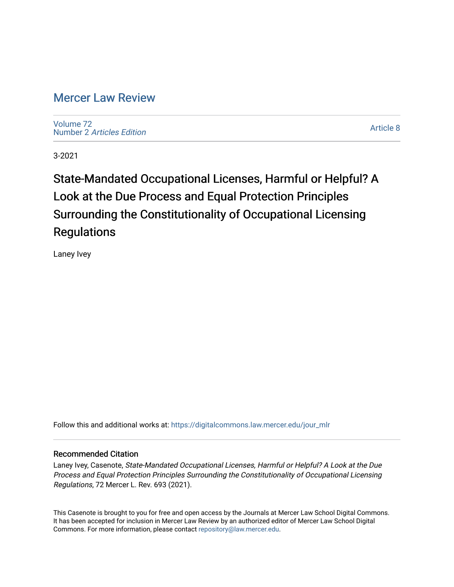# [Mercer Law Review](https://digitalcommons.law.mercer.edu/jour_mlr)

[Volume 72](https://digitalcommons.law.mercer.edu/jour_mlr/vol72) Number 2 [Articles Edition](https://digitalcommons.law.mercer.edu/jour_mlr/vol72/iss2) 

[Article 8](https://digitalcommons.law.mercer.edu/jour_mlr/vol72/iss2/8) 

3-2021

# State-Mandated Occupational Licenses, Harmful or Helpful? A Look at the Due Process and Equal Protection Principles Surrounding the Constitutionality of Occupational Licensing **Regulations**

Laney Ivey

Follow this and additional works at: [https://digitalcommons.law.mercer.edu/jour\\_mlr](https://digitalcommons.law.mercer.edu/jour_mlr?utm_source=digitalcommons.law.mercer.edu%2Fjour_mlr%2Fvol72%2Fiss2%2F8&utm_medium=PDF&utm_campaign=PDFCoverPages)

## Recommended Citation

Laney Ivey, Casenote, State-Mandated Occupational Licenses, Harmful or Helpful? A Look at the Due Process and Equal Protection Principles Surrounding the Constitutionality of Occupational Licensing Regulations, 72 Mercer L. Rev. 693 (2021).

This Casenote is brought to you for free and open access by the Journals at Mercer Law School Digital Commons. It has been accepted for inclusion in Mercer Law Review by an authorized editor of Mercer Law School Digital Commons. For more information, please contact [repository@law.mercer.edu.](mailto:repository@law.mercer.edu)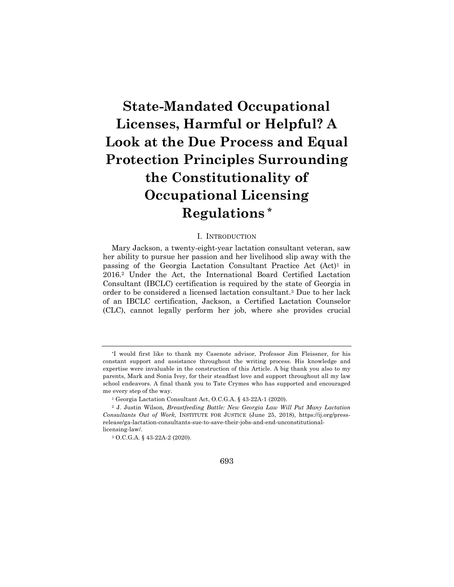# **State-Mandated Occupational Licenses, Harmful or Helpful? A Look at the Due Process and Equal Protection Principles Surrounding the Constitutionality of Occupational Licensing Regulations \***

#### I. INTRODUCTION

Mary Jackson, a twenty-eight-year lactation consultant veteran, saw her ability to pursue her passion and her livelihood slip away with the passing of the Georgia Lactation Consultant Practice Act  $(Act)^1$  in 2016.2 Under the Act, the International Board Certified Lactation Consultant (IBCLC) certification is required by the state of Georgia in order to be considered a licensed lactation consultant.3 Due to her lack of an IBCLC certification, Jackson, a Certified Lactation Counselor (CLC), cannot legally perform her job, where she provides crucial

<sup>\*</sup>I would first like to thank my Casenote advisor, Professor Jim Fleissner, for his constant support and assistance throughout the writing process. His knowledge and expertise were invaluable in the construction of this Article. A big thank you also to my parents, Mark and Sonia Ivey, for their steadfast love and support throughout all my law school endeavors. A final thank you to Tate Crymes who has supported and encouraged me every step of the way.

<sup>1</sup> Georgia Lactation Consultant Act, O.C.G.A. § 43-22A-1 (2020).

<sup>2</sup> J. Justin Wilson*, Breastfeeding Battle: New Georgia Law Will Put Many Lactation Consultants Out of Work*, INSTITUTE FOR JUSTICE (June 25, 2018), https://ij.org/pressrelease/ga-lactation-consultants-sue-to-save-their-jobs-and-end-unconstitutionallicensing-law/.

<sup>3</sup> O.C.G.A. § 43-22A-2 (2020).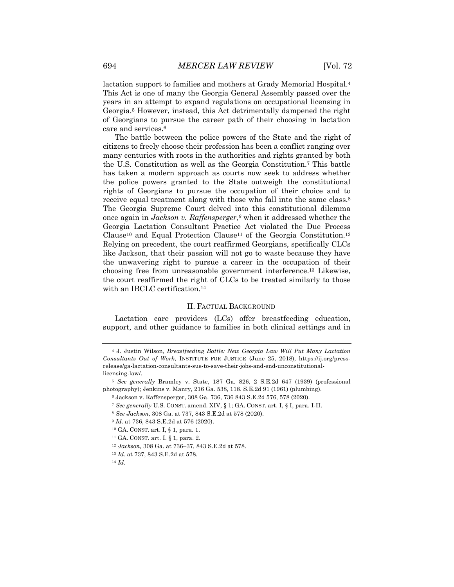lactation support to families and mothers at Grady Memorial Hospital.4 This Act is one of many the Georgia General Assembly passed over the years in an attempt to expand regulations on occupational licensing in Georgia.5 However, instead, this Act detrimentally dampened the right of Georgians to pursue the career path of their choosing in lactation care and services.6

The battle between the police powers of the State and the right of citizens to freely choose their profession has been a conflict ranging over many centuries with roots in the authorities and rights granted by both the U.S. Constitution as well as the Georgia Constitution.7 This battle has taken a modern approach as courts now seek to address whether the police powers granted to the State outweigh the constitutional rights of Georgians to pursue the occupation of their choice and to receive equal treatment along with those who fall into the same class.8 The Georgia Supreme Court delved into this constitutional dilemma once again in *Jackson v. Raffensperger,9* when it addressed whether the Georgia Lactation Consultant Practice Act violated the Due Process Clause10 and Equal Protection Clause11 of the Georgia Constitution.12 Relying on precedent, the court reaffirmed Georgians, specifically CLCs like Jackson, that their passion will not go to waste because they have the unwavering right to pursue a career in the occupation of their choosing free from unreasonable government interference.13 Likewise, the court reaffirmed the right of CLCs to be treated similarly to those with an IBCLC certification.14

#### II. FACTUAL BACKGROUND

Lactation care providers (LCs) offer breastfeeding education, support, and other guidance to families in both clinical settings and in

- <sup>7</sup> *See generally* U.S. CONST. amend. XIV, § 1; GA. CONST. art. I, § I, para. I-II.
- <sup>8</sup> *See Jackson,* 308 Ga. at 737, 843 S.E.2d at 578 (2020).
- <sup>9</sup> *Id.* at 736, 843 S.E.2d at 576 (2020).
- <sup>10</sup> GA. CONST. art. I, § 1, para. 1.
- <sup>11</sup> GA. CONST. art. I. § 1, para. 2.
- <sup>12</sup> *Jackson,* 308 Ga. at 736–37, 843 S.E.2d at 578.
- <sup>13</sup> *Id.* at 737, 843 S.E.2d at 578.
- <sup>14</sup> *Id*.

<sup>4</sup> J. Justin Wilson*, Breastfeeding Battle: New Georgia Law Will Put Many Lactation Consultants Out of Work*, INSTITUTE FOR JUSTICE (June 25, 2018), https://ij.org/pressrelease/ga-lactation-consultants-sue-to-save-their-jobs-and-end-unconstitutionallicensing-law/.

<sup>5</sup> *See generally* Bramley v. State, 187 Ga. 826, 2 S.E.2d 647 (1939) (professional photography); Jenkins v. Manry, 216 Ga. 538, 118. S.E.2d 91 (1961) (plumbing).

<sup>6</sup> Jackson v. Raffensperger, 308 Ga. 736, 736 843 S.E.2d 576, 578 (2020).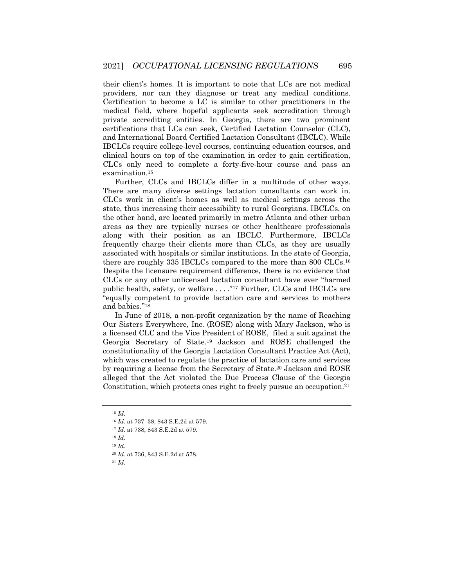their client's homes. It is important to note that LCs are not medical providers, nor can they diagnose or treat any medical conditions. Certification to become a LC is similar to other practitioners in the medical field, where hopeful applicants seek accreditation through private accrediting entities. In Georgia, there are two prominent certifications that LCs can seek, Certified Lactation Counselor (CLC), and International Board Certified Lactation Consultant (IBCLC). While IBCLCs require college-level courses, continuing education courses, and clinical hours on top of the examination in order to gain certification, CLCs only need to complete a forty-five-hour course and pass an examination.15

Further, CLCs and IBCLCs differ in a multitude of other ways. There are many diverse settings lactation consultants can work in. CLCs work in client's homes as well as medical settings across the state, thus increasing their accessibility to rural Georgians. IBCLCs, on the other hand, are located primarily in metro Atlanta and other urban areas as they are typically nurses or other healthcare professionals along with their position as an IBCLC. Furthermore, IBCLCs frequently charge their clients more than CLCs, as they are usually associated with hospitals or similar institutions. In the state of Georgia, there are roughly 335 IBCLCs compared to the more than 800 CLCs.16 Despite the licensure requirement difference, there is no evidence that CLCs or any other unlicensed lactation consultant have ever "harmed public health, safety, or welfare ...."<sup>17</sup> Further, CLCs and IBCLCs are "equally competent to provide lactation care and services to mothers and babies."18

In June of 2018, a non-profit organization by the name of Reaching Our Sisters Everywhere, Inc. (ROSE) along with Mary Jackson, who is a licensed CLC and the Vice President of ROSE, filed a suit against the Georgia Secretary of State.19 Jackson and ROSE challenged the constitutionality of the Georgia Lactation Consultant Practice Act (Act), which was created to regulate the practice of lactation care and services by requiring a license from the Secretary of State.20 Jackson and ROSE alleged that the Act violated the Due Process Clause of the Georgia Constitution, which protects ones right to freely pursue an occupation.<sup>21</sup>

<sup>21</sup> *Id*.

<sup>15</sup> *Id*.

<sup>16</sup> *Id.* at 737–38, 843 S.E.2d at 579.

<sup>17</sup> *Id.* at 738, 843 S.E.2d at 579.

<sup>18</sup> *Id.*

<sup>19</sup> *Id.*

<sup>20</sup> *Id.* at 736, 843 S.E.2d at 578.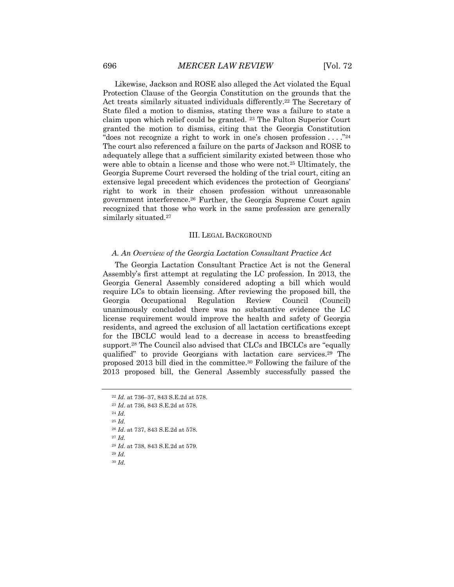Likewise, Jackson and ROSE also alleged the Act violated the Equal Protection Clause of the Georgia Constitution on the grounds that the Act treats similarly situated individuals differently.22 The Secretary of State filed a motion to dismiss, stating there was a failure to state a claim upon which relief could be granted. 23 The Fulton Superior Court granted the motion to dismiss, citing that the Georgia Constitution "does not recognize a right to work in one's chosen profession . . . ."24 The court also referenced a failure on the parts of Jackson and ROSE to adequately allege that a sufficient similarity existed between those who were able to obtain a license and those who were not.25 Ultimately, the Georgia Supreme Court reversed the holding of the trial court, citing an extensive legal precedent which evidences the protection of Georgians' right to work in their chosen profession without unreasonable government interference.26 Further, the Georgia Supreme Court again recognized that those who work in the same profession are generally similarly situated.<sup>27</sup>

#### III. LEGAL BACKGROUND

#### *A. An Overview of the Georgia Lactation Consultant Practice Act*

The Georgia Lactation Consultant Practice Act is not the General Assembly's first attempt at regulating the LC profession. In 2013, the Georgia General Assembly considered adopting a bill which would require LCs to obtain licensing. After reviewing the proposed bill, the Georgia Occupational Regulation Review Council (Council) unanimously concluded there was no substantive evidence the LC license requirement would improve the health and safety of Georgia residents, and agreed the exclusion of all lactation certifications except for the IBCLC would lead to a decrease in access to breastfeeding support.<sup>28</sup> The Council also advised that CLCs and IBCLCs are "equally qualified" to provide Georgians with lactation care services.29 The proposed 2013 bill died in the committee.30 Following the failure of the 2013 proposed bill, the General Assembly successfully passed the

<sup>23</sup> *Id*. at 736, 843 S.E.2d at 578. <sup>24</sup> *Id.* <sup>25</sup> *Id.* <sup>26</sup> *Id*. at 737, 843 S.E.2d at 578. <sup>27</sup> *Id.* <sup>28</sup> *Id.* at 738, 843 S.E.2d at 579. <sup>29</sup> *Id.* <sup>30</sup> *Id.*

<sup>22</sup> *Id.* at 736–37, 843 S.E.2d at 578.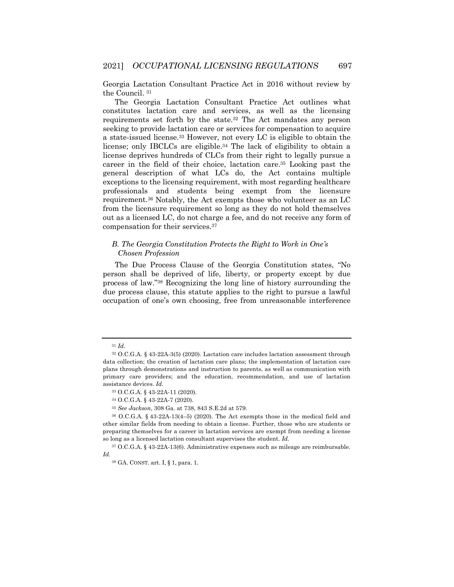Georgia Lactation Consultant Practice Act in 2016 without review by the Council. 31

The Georgia Lactation Consultant Practice Act outlines what constitutes lactation care and services, as well as the licensing requirements set forth by the state.32 The Act mandates any person seeking to provide lactation care or services for compensation to acquire a state-issued license.33 However, not every LC is eligible to obtain the license; only IBCLCs are eligible.34 The lack of eligibility to obtain a license deprives hundreds of CLCs from their right to legally pursue a career in the field of their choice, lactation care.35 Looking past the general description of what LCs do, the Act contains multiple exceptions to the licensing requirement, with most regarding healthcare professionals and students being exempt from the licensure requirement.36 Notably, the Act exempts those who volunteer as an LC from the licensure requirement so long as they do not hold themselves out as a licensed LC, do not charge a fee, and do not receive any form of compensation for their services.37

### *B. The Georgia Constitution Protects the Right to Work in One's Chosen Profession*

The Due Process Clause of the Georgia Constitution states, "No person shall be deprived of life, liberty, or property except by due process of law."38 Recognizing the long line of history surrounding the due process clause, this statute applies to the right to pursue a lawful occupation of one's own choosing, free from unreasonable interference

<sup>31</sup> *Id.* 

<sup>32</sup> O.C.G.A. § 43-22A-3(5) (2020). Lactation care includes lactation assessment through data collection; the creation of lactation care plans; the implementation of lactation care plans through demonstrations and instruction to parents, as well as communication with primary care providers; and the education, recommendation, and use of lactation assistance devices. *Id.*

<sup>33</sup> O.C.G.A. § 43-22A-11 (2020).

<sup>34</sup> O.C.G.A. § 43-22A-7 (2020).

<sup>35</sup> *See Jackson*, 308 Ga. at 738, 843 S.E.2d at 579.

<sup>36</sup> O.C.G.A. § 43-22A-13(4–5) (2020). The Act exempts those in the medical field and other similar fields from needing to obtain a license. Further, those who are students or preparing themselves for a career in lactation services are exempt from needing a license so long as a licensed lactation consultant supervises the student. *Id.*

<sup>37</sup> O.C.G.A. § 43-22A-13(6). Administrative expenses such as mileage are reimbursable. *Id.*

<sup>38</sup> GA. CONST. art. I, § 1, para. 1.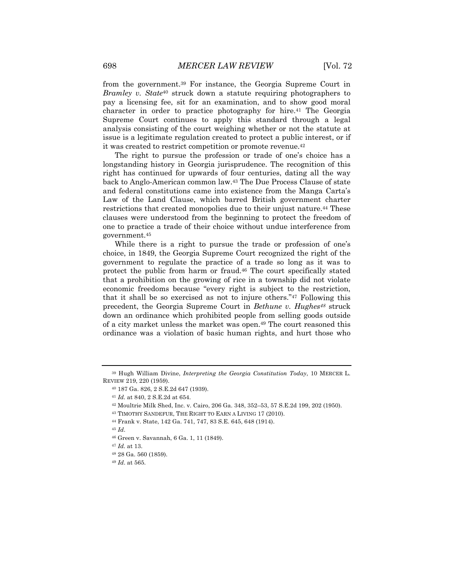from the government.39 For instance, the Georgia Supreme Court in *Bramley v. State*<sup>40</sup> struck down a statute requiring photographers to pay a licensing fee, sit for an examination, and to show good moral character in order to practice photography for hire.41 The Georgia Supreme Court continues to apply this standard through a legal analysis consisting of the court weighing whether or not the statute at issue is a legitimate regulation created to protect a public interest, or if it was created to restrict competition or promote revenue.42

The right to pursue the profession or trade of one's choice has a longstanding history in Georgia jurisprudence. The recognition of this right has continued for upwards of four centuries, dating all the way back to Anglo-American common law.43 The Due Process Clause of state and federal constitutions came into existence from the Manga Carta's Law of the Land Clause, which barred British government charter restrictions that created monopolies due to their unjust nature.44 These clauses were understood from the beginning to protect the freedom of one to practice a trade of their choice without undue interference from government.45

While there is a right to pursue the trade or profession of one's choice, in 1849, the Georgia Supreme Court recognized the right of the government to regulate the practice of a trade so long as it was to protect the public from harm or fraud.46 The court specifically stated that a prohibition on the growing of rice in a township did not violate economic freedoms because "every right is subject to the restriction, that it shall be so exercised as not to injure others."47 Following this precedent, the Georgia Supreme Court in *Bethune v. Hughes48* struck down an ordinance which prohibited people from selling goods outside of a city market unless the market was open.49 The court reasoned this ordinance was a violation of basic human rights, and hurt those who

<sup>45</sup> *Id*.

<sup>48</sup> 28 Ga. 560 (1859).

<sup>39</sup> Hugh William Divine, *Interpreting the Georgia Constitution Today*, 10 MERCER L. REVIEW 219, 220 (1959).

<sup>40</sup> 187 Ga. 826, 2 S.E.2d 647 (1939).

<sup>41</sup> *Id.* at 840, 2 S.E.2d at 654.

<sup>42</sup> Moultrie Milk Shed, Inc. v. Cairo, 206 Ga. 348, 352–53, 57 S.E.2d 199, 202 (1950).

<sup>43</sup> TIMOTHY SANDEFUR, THE RIGHT TO EARN A LIVING 17 (2010).

<sup>44</sup> Frank v. State, 142 Ga. 741, 747, 83 S.E. 645, 648 (1914).

<sup>46</sup> Green v. Savannah, 6 Ga. 1, 11 (1849).

<sup>47</sup> *Id.* at 13.

<sup>49</sup> *Id*. at 565.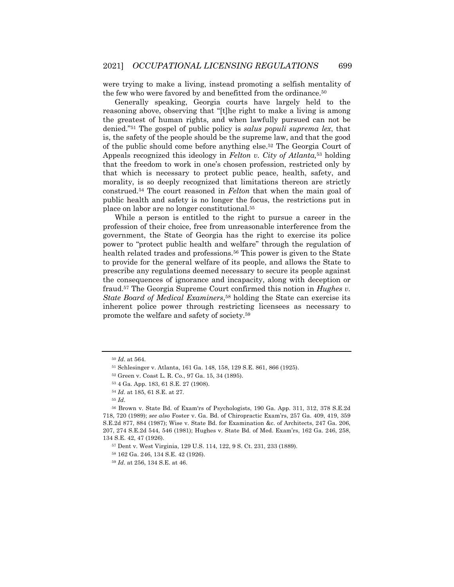were trying to make a living, instead promoting a selfish mentality of the few who were favored by and benefitted from the ordinance.<sup>50</sup>

Generally speaking, Georgia courts have largely held to the reasoning above, observing that "[t]he right to make a living is among the greatest of human rights, and when lawfully pursued can not be denied."51 The gospel of public policy is *salus populi suprema lex*, that is, the safety of the people should be the supreme law, and that the good of the public should come before anything else.52 The Georgia Court of Appeals recognized this ideology in *Felton v. City of Atlanta,*<sup>53</sup> holding that the freedom to work in one's chosen profession, restricted only by that which is necessary to protect public peace, health, safety, and morality, is so deeply recognized that limitations thereon are strictly construed.54 The court reasoned in *Felton* that when the main goal of public health and safety is no longer the focus, the restrictions put in place on labor are no longer constitutional.55

While a person is entitled to the right to pursue a career in the profession of their choice, free from unreasonable interference from the government, the State of Georgia has the right to exercise its police power to "protect public health and welfare" through the regulation of health related trades and professions.<sup>56</sup> This power is given to the State to provide for the general welfare of its people, and allows the State to prescribe any regulations deemed necessary to secure its people against the consequences of ignorance and incapacity, along with deception or fraud.57 The Georgia Supreme Court confirmed this notion in *Hughes v. State Board of Medical Examiners*,58 holding the State can exercise its inherent police power through restricting licensees as necessary to promote the welfare and safety of society.59

<sup>50</sup> *Id*. at 564.

<sup>51</sup> Schlesinger v. Atlanta, 161 Ga. 148, 158, 129 S.E. 861, 866 (1925).

<sup>52</sup> Green v. Coast L. R. Co., 97 Ga. 15, 34 (1895).

<sup>53</sup> 4 Ga. App. 183, 61 S.E. 27 (1908).

<sup>54</sup> *Id*. at 185, 61 S.E. at 27.

<sup>55</sup> *Id*.

<sup>56</sup> Brown v. State Bd. of Exam'rs of Psychologists, 190 Ga. App. 311, 312, 378 S.E.2d 718, 720 (1989); *see also* Foster v. Ga. Bd. of Chiropractic Exam'rs, 257 Ga. 409, 419, 359 S.E.2d 877, 884 (1987); Wise v. State Bd. for Examination &c. of Architects, 247 Ga. 206, 207, 274 S.E.2d 544, 546 (1981); Hughes v. State Bd. of Med. Exam'rs, 162 Ga. 246, 258, 134 S.E. 42, 47 (1926).

<sup>57</sup> Dent v. West Virginia, 129 U.S. 114, 122, 9 S. Ct. 231, 233 (1889).

<sup>58</sup> 162 Ga. 246, 134 S.E. 42 (1926).

<sup>59</sup> *Id*. at 256, 134 S.E. at 46.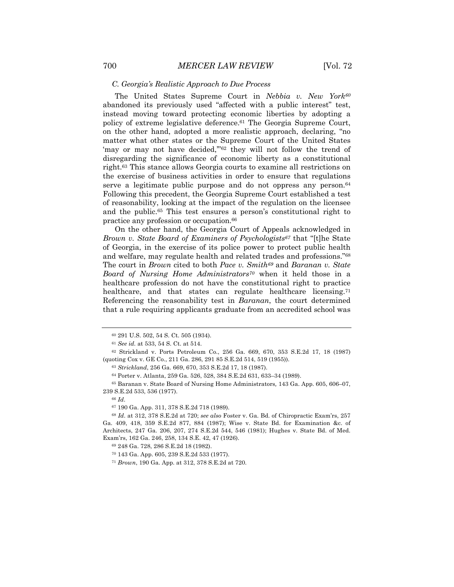#### *C. Georgia's Realistic Approach to Due Process*

The United States Supreme Court in *Nebbia v. New York60* abandoned its previously used "affected with a public interest" test, instead moving toward protecting economic liberties by adopting a policy of extreme legislative deference.61 The Georgia Supreme Court, on the other hand, adopted a more realistic approach, declaring, "no matter what other states or the Supreme Court of the United States 'may or may not have decided,"62 they will not follow the trend of disregarding the significance of economic liberty as a constitutional right.63 This stance allows Georgia courts to examine all restrictions on the exercise of business activities in order to ensure that regulations serve a legitimate public purpose and do not oppress any person.64 Following this precedent, the Georgia Supreme Court established a test of reasonability, looking at the impact of the regulation on the licensee and the public.65 This test ensures a person's constitutional right to practice any profession or occupation.66

On the other hand, the Georgia Court of Appeals acknowledged in *Brown v. State Board of Examiners of Psychologists67* that "[t]he State of Georgia, in the exercise of its police power to protect public health and welfare, may regulate health and related trades and professions."68 The court in *Brown* cited to both *Pace v. Smith69* and *Baranan v. State Board of Nursing Home Administrators70* when it held those in a healthcare profession do not have the constitutional right to practice healthcare, and that states can regulate healthcare licensing.<sup>71</sup> Referencing the reasonability test in *Baranan*, the court determined that a rule requiring applicants graduate from an accredited school was

<sup>63</sup> *Strickland*, 256 Ga. 669, 670, 353 S.E.2d 17, 18 (1987).

<sup>64</sup> Porter v. Atlanta, 259 Ga. 526, 528, 384 S.E.2d 631, 633–34 (1989).

<sup>65</sup> Baranan v. State Board of Nursing Home Administrators*,* 143 Ga. App. 605, 606–07, 239 S.E.2d 533, 536 (1977).

<sup>66</sup> *Id*.

<sup>67</sup> 190 Ga. App. 311, 378 S.E.2d 718 (1989).

<sup>68</sup> *Id*. at 312, 378 S.E.2d at 720; *see also* Foster v. Ga. Bd. of Chiropractic Exam'rs, 257 Ga. 409, 418, 359 S.E.2d 877, 884 (1987); Wise v. State Bd. for Examination &c. of Architects, 247 Ga. 206, 207, 274 S.E.2d 544, 546 (1981); Hughes v. State Bd. of Med. Exam'rs, 162 Ga. 246, 258, 134 S.E. 42, 47 (1926).

<sup>69</sup> 248 Ga. 728, 286 S.E.2d 18 (1982).

<sup>60</sup> 291 U.S. 502, 54 S. Ct. 505 (1934).

<sup>61</sup> *See id.* at 533, 54 S. Ct. at 514.

<sup>62</sup> Strickland v. Ports Petroleum Co., 256 Ga. 669, 670, 353 S.E.2d 17, 18 (1987) (quoting Cox v. GE Co., 211 Ga. 286, 291 85 S.E.2d 514, 519 (1955)).

<sup>70</sup> 143 Ga. App. 605, 239 S.E.2d 533 (1977).

<sup>71</sup> *Brown*, 190 Ga. App. at 312, 378 S.E.2d at 720.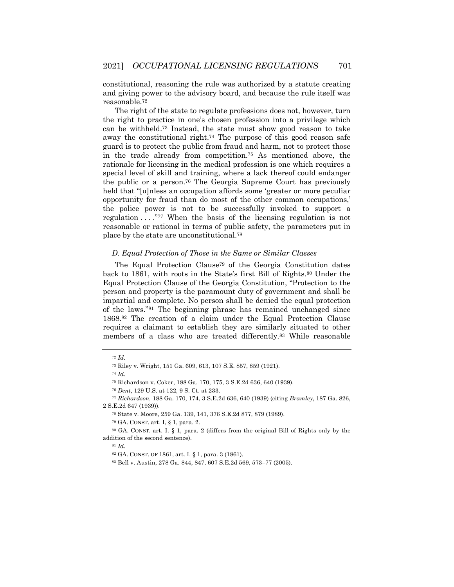constitutional, reasoning the rule was authorized by a statute creating and giving power to the advisory board, and because the rule itself was reasonable.72

The right of the state to regulate professions does not, however, turn the right to practice in one's chosen profession into a privilege which can be withheld.73 Instead, the state must show good reason to take away the constitutional right.<sup>74</sup> The purpose of this good reason safe guard is to protect the public from fraud and harm, not to protect those in the trade already from competition.75 As mentioned above, the rationale for licensing in the medical profession is one which requires a special level of skill and training, where a lack thereof could endanger the public or a person.76 The Georgia Supreme Court has previously held that "[u]nless an occupation affords some 'greater or more peculiar opportunity for fraud than do most of the other common occupations,' the police power is not to be successfully invoked to support a regulation . . . ."77 When the basis of the licensing regulation is not reasonable or rational in terms of public safety, the parameters put in place by the state are unconstitutional.78

#### *D. Equal Protection of Those in the Same or Similar Classes*

The Equal Protection Clause79 of the Georgia Constitution dates back to 1861, with roots in the State's first Bill of Rights.80 Under the Equal Protection Clause of the Georgia Constitution, "Protection to the person and property is the paramount duty of government and shall be impartial and complete. No person shall be denied the equal protection of the laws."81 The beginning phrase has remained unchanged since 1868.82 The creation of a claim under the Equal Protection Clause requires a claimant to establish they are similarly situated to other members of a class who are treated differently.83 While reasonable

<sup>72</sup> *Id*.

<sup>73</sup> Riley v. Wright, 151 Ga. 609, 613, 107 S.E. 857, 859 (1921).

<sup>74</sup> *Id*.

<sup>75</sup> Richardson v. Coker, 188 Ga. 170, 175, 3 S.E.2d 636, 640 (1939).

<sup>76</sup> *Dent*, 129 U.S. at 122, 9 S. Ct. at 233.

<sup>77</sup> *Richardson,* 188 Ga. 170, 174, 3 S.E.2d 636, 640 (1939) (citing *Bramley*, 187 Ga. 826, 2 S.E.2d 647 (1939)).

<sup>78</sup> State v. Moore, 259 Ga. 139, 141, 376 S.E.2d 877, 879 (1989).

<sup>79</sup> GA. CONST. art. I, § 1, para. 2.

<sup>80</sup> GA. CONST. art. I. § 1, para. 2 (differs from the original Bill of Rights only by the addition of the second sentence).

<sup>81</sup> *Id*.

<sup>82</sup> GA. CONST. OF 1861, art. I. § 1, para. 3 (1861).

<sup>83</sup> Bell v. Austin, 278 Ga. 844, 847, 607 S.E.2d 569, 573–77 (2005).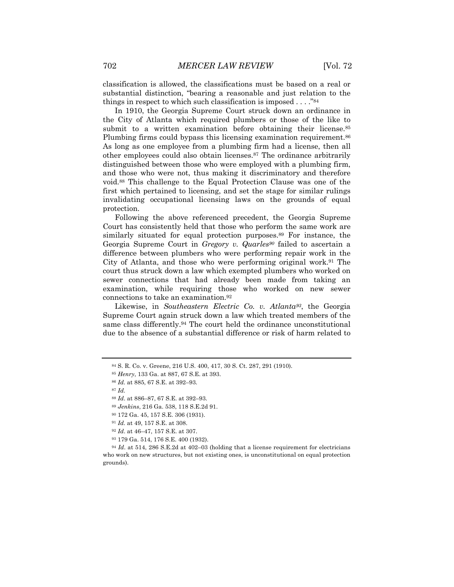classification is allowed, the classifications must be based on a real or substantial distinction, "bearing a reasonable and just relation to the things in respect to which such classification is imposed . . . ."84

In 1910, the Georgia Supreme Court struck down an ordinance in the City of Atlanta which required plumbers or those of the like to submit to a written examination before obtaining their license.<sup>85</sup> Plumbing firms could bypass this licensing examination requirement.<sup>86</sup> As long as one employee from a plumbing firm had a license, then all other employees could also obtain licenses.87 The ordinance arbitrarily distinguished between those who were employed with a plumbing firm, and those who were not, thus making it discriminatory and therefore void.88 This challenge to the Equal Protection Clause was one of the first which pertained to licensing, and set the stage for similar rulings invalidating occupational licensing laws on the grounds of equal protection.

Following the above referenced precedent, the Georgia Supreme Court has consistently held that those who perform the same work are similarly situated for equal protection purposes.89 For instance, the Georgia Supreme Court in *Gregory v. Quarles90* failed to ascertain a difference between plumbers who were performing repair work in the City of Atlanta, and those who were performing original work.91 The court thus struck down a law which exempted plumbers who worked on sewer connections that had already been made from taking an examination, while requiring those who worked on new sewer connections to take an examination.92

Likewise, in *Southeastern Electric Co. v. Atlanta93*, the Georgia Supreme Court again struck down a law which treated members of the same class differently.94 The court held the ordinance unconstitutional due to the absence of a substantial difference or risk of harm related to

- <sup>89</sup> *Jenkins*, 216 Ga. 538, 118 S.E.2d 91.
- <sup>90</sup> 172 Ga. 45, 157 S.E. 306 (1931).

<sup>92</sup> *Id*. at 46–47, 157 S.E. at 307.

<sup>84</sup> S. R. Co. v. Greene, 216 U.S. 400, 417, 30 S. Ct. 287, 291 (1910).

<sup>85</sup> *Henry*, 133 Ga. at 887, 67 S.E. at 393.

<sup>86</sup> *Id.* at 885, 67 S.E. at 392–93.

<sup>87</sup> *Id.*

<sup>88</sup> *Id*. at 886–87, 67 S.E. at 392–93.

<sup>91</sup> *Id.* at 49, 157 S.E. at 308.

<sup>93</sup> 179 Ga. 514, 176 S.E. 400 (1932).

<sup>94</sup> *Id*. at 514, 286 S.E.2d at 402–03 (holding that a license requirement for electricians who work on new structures, but not existing ones, is unconstitutional on equal protection grounds).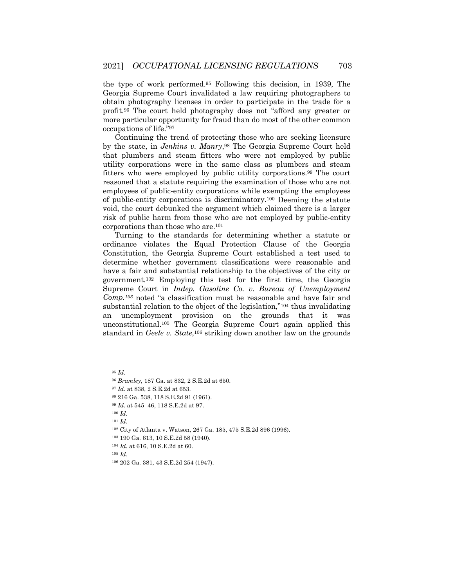the type of work performed.95 Following this decision, in 1939, The Georgia Supreme Court invalidated a law requiring photographers to obtain photography licenses in order to participate in the trade for a profit.96 The court held photography does not "afford any greater or more particular opportunity for fraud than do most of the other common occupations of life."97

Continuing the trend of protecting those who are seeking licensure by the state, in *Jenkins v. Manry*,98 The Georgia Supreme Court held that plumbers and steam fitters who were not employed by public utility corporations were in the same class as plumbers and steam fitters who were employed by public utility corporations.99 The court reasoned that a statute requiring the examination of those who are not employees of public-entity corporations while exempting the employees of public-entity corporations is discriminatory.100 Deeming the statute void, the court debunked the argument which claimed there is a larger risk of public harm from those who are not employed by public-entity corporations than those who are.101

Turning to the standards for determining whether a statute or ordinance violates the Equal Protection Clause of the Georgia Constitution, the Georgia Supreme Court established a test used to determine whether government classifications were reasonable and have a fair and substantial relationship to the objectives of the city or government.102 Employing this test for the first time, the Georgia Supreme Court in *Indep. Gasoline Co. v. Bureau of Unemployment Comp.103* noted "a classification must be reasonable and have fair and substantial relation to the object of the legislation,"104 thus invalidating an unemployment provision on the grounds that it was unconstitutional.105 The Georgia Supreme Court again applied this standard in *Geele v. State*,106 striking down another law on the grounds

<sup>105</sup> *Id.*

<sup>95</sup> *Id*.

<sup>96</sup> *Bramley*, 187 Ga. at 832, 2 S.E.2d at 650.

<sup>97</sup> *Id*. at 838, 2 S.E.2d at 653.

<sup>98</sup> 216 Ga. 538, 118 S.E.2d 91 (1961).

<sup>99</sup> *Id*. at 545–46, 118 S.E.2d at 97.

<sup>100</sup> *Id*.

<sup>101</sup> *Id*.

<sup>102</sup> City of Atlanta v. Watson, 267 Ga. 185, 475 S.E.2d 896 (1996).

<sup>103</sup> 190 Ga. 613, 10 S.E.2d 58 (1940).

<sup>104</sup> *Id.* at 616, 10 S.E.2d at 60.

<sup>106</sup> 202 Ga. 381, 43 S.E.2d 254 (1947).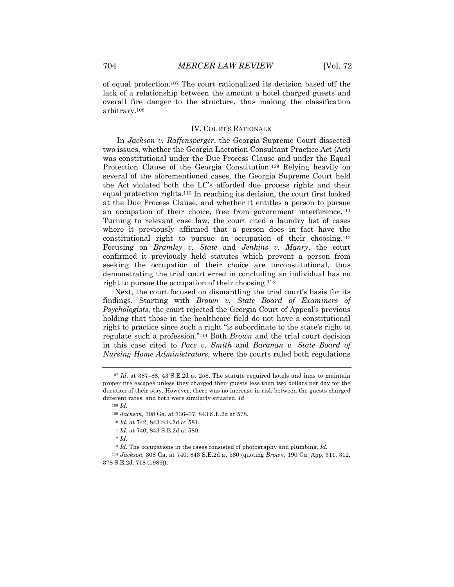of equal protection.107 The court rationalized its decision based off the lack of a relationship between the amount a hotel charged guests and overall fire danger to the structure, thus making the classification arbitrary.108

#### IV. COURT'S RATIONALE

In *Jackson v. Raffensperger*, the Georgia Supreme Court dissected two issues, whether the Georgia Lactation Consultant Practice Act (Act) was constitutional under the Due Process Clause and under the Equal Protection Clause of the Georgia Constitution.109 Relying heavily on several of the aforementioned cases, the Georgia Supreme Court held the Act violated both the LC's afforded due process rights and their equal protection rights.110 In reaching its decision, the court first looked at the Due Process Clause, and whether it entitles a person to pursue an occupation of their choice, free from government interference.<sup>111</sup> Turning to relevant case law, the court cited a laundry list of cases where it previously affirmed that a person does in fact have the constitutional right to pursue an occupation of their choosing.112 Focusing on *Bramley v. State* and *Jenkins v. Manry*, the court confirmed it previously held statutes which prevent a person from seeking the occupation of their choice are unconstitutional, thus demonstrating the trial court erred in concluding an individual has no right to pursue the occupation of their choosing.113

Next, the court focused on dismantling the trial court's basis for its findings. Starting with *Brown v. State Board of Examiners of Psychologists*, the court rejected the Georgia Court of Appeal's previous holding that those in the healthcare field do not have a constitutional right to practice since such a right "is subordinate to the state's right to regulate such a profession."114 Both *Brown* and the trial court decision in this case cited to *Pace v. Smith* and *Baranan v. State Board of Nursing Home Administrators*, where the courts ruled both regulations

<sup>107</sup> *Id*. at 387–88, 43 S.E.2d at 258. The statute required hotels and inns to maintain proper fire escapes unless they charged their guests less than two dollars per day for the duration of their stay. However, there was no increase in risk between the guests charged different rates, and both were similarly situated. *Id*.

<sup>108</sup> *Id*.

<sup>109</sup> *Jackson,* 308 Ga. at 736–37, 843 S.E.2d at 578.

<sup>110</sup> *Id*. at 742, 843 S.E.2d at 581.

<sup>111</sup> *Id*. at 740, 843 S.E.2d at 580.

<sup>112</sup> *Id*.

<sup>113</sup> *Id*. The occupations in the cases consisted of photography and plumbing. *Id.*

<sup>114</sup> *Jackson,* 308 Ga. at 740, 843 S.E.2d at 580 (quoting *Brown*, 190 Ga. App. 311, 312, 378 S.E.2d. 718 (1989)).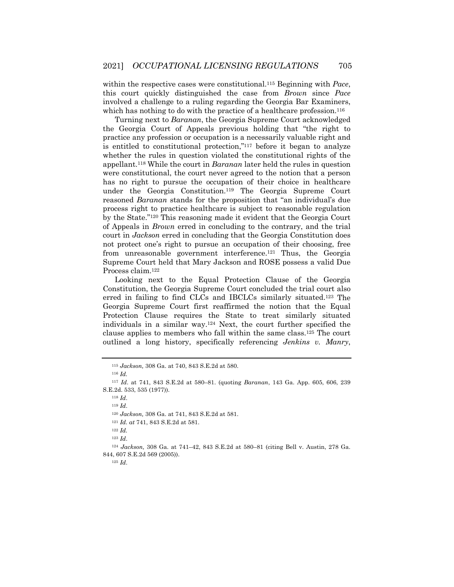within the respective cases were constitutional.115 Beginning with *Pace*, this court quickly distinguished the case from *Brown* since *Pace*  involved a challenge to a ruling regarding the Georgia Bar Examiners, which has nothing to do with the practice of a healthcare profession.<sup>116</sup>

Turning next to *Baranan*, the Georgia Supreme Court acknowledged the Georgia Court of Appeals previous holding that "the right to practice any profession or occupation is a necessarily valuable right and is entitled to constitutional protection,"117 before it began to analyze whether the rules in question violated the constitutional rights of the appellant.118 While the court in *Baranan* later held the rules in question were constitutional, the court never agreed to the notion that a person has no right to pursue the occupation of their choice in healthcare under the Georgia Constitution.119 The Georgia Supreme Court reasoned *Baranan* stands for the proposition that "an individual's due process right to practice healthcare is subject to reasonable regulation by the State."120 This reasoning made it evident that the Georgia Court of Appeals in *Brown* erred in concluding to the contrary, and the trial court in *Jackson* erred in concluding that the Georgia Constitution does not protect one's right to pursue an occupation of their choosing, free from unreasonable government interference.<sup>121</sup> Thus, the Georgia Supreme Court held that Mary Jackson and ROSE possess a valid Due Process claim.122

Looking next to the Equal Protection Clause of the Georgia Constitution, the Georgia Supreme Court concluded the trial court also erred in failing to find CLCs and IBCLCs similarly situated.123 The Georgia Supreme Court first reaffirmed the notion that the Equal Protection Clause requires the State to treat similarly situated individuals in a similar way.124 Next, the court further specified the clause applies to members who fall within the same class.125 The court outlined a long history, specifically referencing *Jenkins v. Manry*,

<sup>119</sup> *Id*.

<sup>120</sup> *Jackson,* 308 Ga. at 741, 843 S.E.2d at 581.

<sup>121</sup> *Id. at* 741, 843 S.E.2d at 581.

<sup>123</sup> *Id*.

<sup>125</sup> *Id*.

<sup>115</sup> *Jackson,* 308 Ga. at 740, 843 S.E.2d at 580.

<sup>116</sup> *Id.*

<sup>117</sup> *Id*. at 741, 843 S.E.2d at 580–81. (quoting *Baranan*, 143 Ga. App. 605, 606, 239 S.E.2d. 533, 535 (1977)).

<sup>118</sup> *Id*.

<sup>122</sup> *Id.*

<sup>124</sup> *Jackson,* 308 Ga. at 741–42, 843 S.E.2d at 580–81 (citing Bell v. Austin, 278 Ga. 844, 607 S.E.2d 569 (2005)).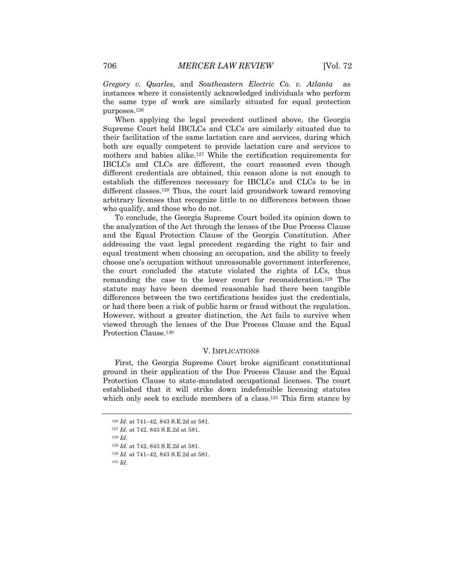*Gregory v. Quarles*, and *Southeastern Electric Co. v. Atlanta* as instances where it consistently acknowledged individuals who perform the same type of work are similarly situated for equal protection purposes.126

When applying the legal precedent outlined above, the Georgia Supreme Court held IBCLCs and CLCs are similarly situated due to their facilitation of the same lactation care and services, during which both are equally competent to provide lactation care and services to mothers and babies alike.127 While the certification requirements for IBCLCs and CLCs are different, the court reasoned even though different credentials are obtained, this reason alone is not enough to establish the differences necessary for IBCLCs and CLCs to be in different classes.128 Thus, the court laid groundwork toward removing arbitrary licenses that recognize little to no differences between those who qualify, and those who do not.

To conclude, the Georgia Supreme Court boiled its opinion down to the analyzation of the Act through the lenses of the Due Process Clause and the Equal Protection Clause of the Georgia Constitution. After addressing the vast legal precedent regarding the right to fair and equal treatment when choosing an occupation, and the ability to freely choose one's occupation without unreasonable government interference, the court concluded the statute violated the rights of LCs, thus remanding the case to the lower court for reconsideration.129 The statute may have been deemed reasonable had there been tangible differences between the two certifications besides just the credentials, or had there been a risk of public harm or fraud without the regulation. However, without a greater distinction, the Act fails to survive when viewed through the lenses of the Due Process Clause and the Equal Protection Clause.130

#### V. IMPLICATIONS

First, the Georgia Supreme Court broke significant constitutional ground in their application of the Due Process Clause and the Equal Protection Clause to state-mandated occupational licenses. The court established that it will strike down indefensible licensing statutes which only seek to exclude members of a class.131 This firm stance by

<sup>126</sup> *Id.* at 741–42, 843 S.E.2d at 581.

<sup>127</sup> *Id.* at 742, 843 S.E.2d at 581.

<sup>128</sup> *Id.* 

<sup>129</sup> *Id.* at 742, 843 S.E.2d at 581.

<sup>130</sup> *Id.* at 741–42, 843 S.E.2d at 581.

<sup>131</sup> *Id.*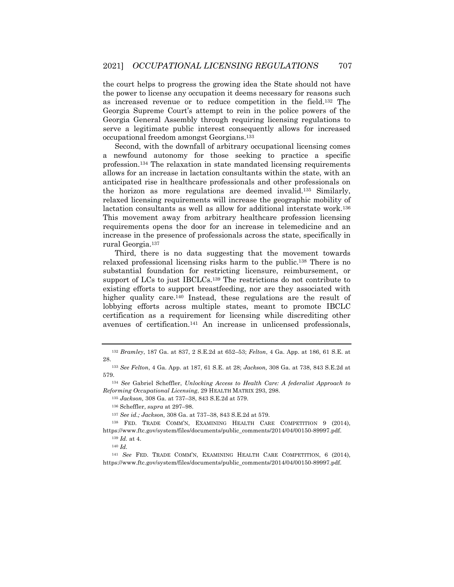the court helps to progress the growing idea the State should not have the power to license any occupation it deems necessary for reasons such as increased revenue or to reduce competition in the field.132 The Georgia Supreme Court's attempt to rein in the police powers of the Georgia General Assembly through requiring licensing regulations to serve a legitimate public interest consequently allows for increased occupational freedom amongst Georgians.133

Second, with the downfall of arbitrary occupational licensing comes a newfound autonomy for those seeking to practice a specific profession.134 The relaxation in state mandated licensing requirements allows for an increase in lactation consultants within the state, with an anticipated rise in healthcare professionals and other professionals on the horizon as more regulations are deemed invalid.135 Similarly, relaxed licensing requirements will increase the geographic mobility of lactation consultants as well as allow for additional interstate work.136 This movement away from arbitrary healthcare profession licensing requirements opens the door for an increase in telemedicine and an increase in the presence of professionals across the state, specifically in rural Georgia.137

Third, there is no data suggesting that the movement towards relaxed professional licensing risks harm to the public.138 There is no substantial foundation for restricting licensure, reimbursement, or support of LCs to just IBCLCs.<sup>139</sup> The restrictions do not contribute to existing efforts to support breastfeeding, nor are they associated with higher quality care.<sup>140</sup> Instead, these regulations are the result of lobbying efforts across multiple states, meant to promote IBCLC certification as a requirement for licensing while discrediting other avenues of certification.141 An increase in unlicensed professionals,

<sup>132</sup> *Bramley*, 187 Ga. at 837, 2 S.E.2d at 652–53; *Felton*, 4 Ga. App. at 186, 61 S.E. at 28.

<sup>133</sup> *See Felton*, 4 Ga. App. at 187, 61 S.E. at 28; *Jackson,* 308 Ga. at 738, 843 S.E.2d at 579.

<sup>134</sup> *See* Gabriel Scheffler, *Unlocking Access to Health Care: A federalist Approach to Reforming Occupational Licensing*, 29 HEALTH MATRIX 293, 298.

<sup>135</sup> *Jackson,* 308 Ga. at 737–38, 843 S.E.2d at 579.

<sup>136</sup> Scheffler, *supra* at 297–98.

<sup>137</sup> *See id.; Jackson,* 308 Ga. at 737–38, 843 S.E.2d at 579.

<sup>138</sup> FED. TRADE COMM'N, EXAMINING HEALTH CARE COMPETITION 9 (2014), https://www.ftc.gov/system/files/documents/public\_comments/2014/04/00150-89997.pdf.

<sup>139</sup> *Id.* at 4.

<sup>140</sup> *Id.*

<sup>141</sup> *See* FED. TRADE COMM'N, EXAMINING HEALTH CARE COMPETITION, 6 (2014), https://www.ftc.gov/system/files/documents/public\_comments/2014/04/00150-89997.pdf.